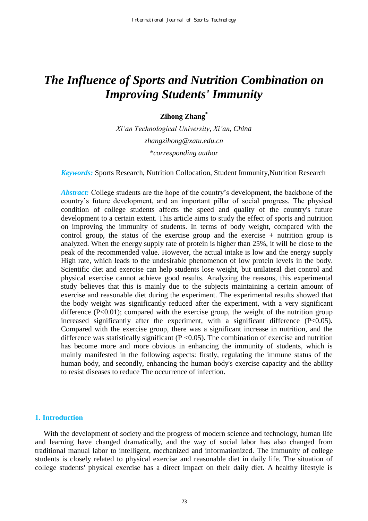# *The Influence of Sports and Nutrition Combination on Improving Students' Immunity*

# **Zihong Zhang\***

*Xi'an Technological University, Xi'an, China zhangzihong@xatu.edu.cn \*corresponding author* 

*Keywords:* Sports Research, Nutrition Collocation, Student Immunity,Nutrition Research

*Abstract:* College students are the hope of the country's development, the backbone of the country's future development, and an important pillar of social progress. The physical condition of college students affects the speed and quality of the country's future development to a certain extent. This article aims to study the effect of sports and nutrition on improving the immunity of students. In terms of body weight, compared with the control group, the status of the exercise group and the exercise  $+$  nutrition group is analyzed. When the energy supply rate of protein is higher than 25%, it will be close to the peak of the recommended value. However, the actual intake is low and the energy supply High rate, which leads to the undesirable phenomenon of low protein levels in the body. Scientific diet and exercise can help students lose weight, but unilateral diet control and physical exercise cannot achieve good results. Analyzing the reasons, this experimental study believes that this is mainly due to the subjects maintaining a certain amount of exercise and reasonable diet during the experiment. The experimental results showed that the body weight was significantly reduced after the experiment, with a very significant difference  $(P<0.01)$ ; compared with the exercise group, the weight of the nutrition group increased significantly after the experiment, with a significant difference  $(P<0.05)$ . Compared with the exercise group, there was a significant increase in nutrition, and the difference was statistically significant ( $P \le 0.05$ ). The combination of exercise and nutrition has become more and more obvious in enhancing the immunity of students, which is mainly manifested in the following aspects: firstly, regulating the immune status of the human body, and secondly, enhancing the human body's exercise capacity and the ability to resist diseases to reduce The occurrence of infection.

# **1. Introduction**

With the development of society and the progress of modern science and technology, human life and learning have changed dramatically, and the way of social labor has also changed from traditional manual labor to intelligent, mechanized and informationized. The immunity of college students is closely related to physical exercise and reasonable diet in daily life. The situation of college students' physical exercise has a direct impact on their daily diet. A healthy lifestyle is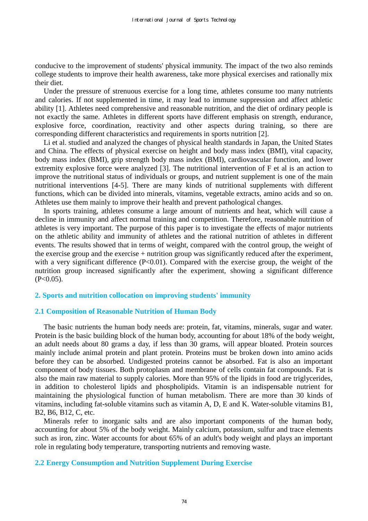conducive to the improvement of students' physical immunity. The impact of the two also reminds college students to improve their health awareness, take more physical exercises and rationally mix their diet.

Under the pressure of strenuous exercise for a long time, athletes consume too many nutrients and calories. If not supplemented in time, it may lead to immune suppression and affect athletic ability [1]. Athletes need comprehensive and reasonable nutrition, and the diet of ordinary people is not exactly the same. Athletes in different sports have different emphasis on strength, endurance, explosive force, coordination, reactivity and other aspects during training, so there are corresponding different characteristics and requirements in sports nutrition [2].

Li et al. studied and analyzed the changes of physical health standards in Japan, the United States and China. The effects of physical exercise on height and body mass index (BMI), vital capacity, body mass index (BMI), grip strength body mass index (BMI), cardiovascular function, and lower extremity explosive force were analyzed [3]. The nutritional intervention of F et al is an action to improve the nutritional status of individuals or groups, and nutrient supplement is one of the main nutritional interventions [4-5]. There are many kinds of nutritional supplements with different functions, which can be divided into minerals, vitamins, vegetable extracts, amino acids and so on. Athletes use them mainly to improve their health and prevent pathological changes.

In sports training, athletes consume a large amount of nutrients and heat, which will cause a decline in immunity and affect normal training and competition. Therefore, reasonable nutrition of athletes is very important. The purpose of this paper is to investigate the effects of major nutrients on the athletic ability and immunity of athletes and the rational nutrition of athletes in different events. The results showed that in terms of weight, compared with the control group, the weight of the exercise group and the exercise + nutrition group was significantly reduced after the experiment, with a very significant difference (P<0.01). Compared with the exercise group, the weight of the nutrition group increased significantly after the experiment, showing a significant difference  $(P<0.05)$ .

# **2. Sports and nutrition collocation on improving students' immunity**

# **2.1 Composition of Reasonable Nutrition of Human Body**

The basic nutrients the human body needs are: protein, fat, vitamins, minerals, sugar and water. Protein is the basic building block of the human body, accounting for about 18% of the body weight, an adult needs about 80 grams a day, if less than 30 grams, will appear bloated. Protein sources mainly include animal protein and plant protein. Proteins must be broken down into amino acids before they can be absorbed. Undigested proteins cannot be absorbed. Fat is also an important component of body tissues. Both protoplasm and membrane of cells contain fat compounds. Fat is also the main raw material to supply calories. More than 95% of the lipids in food are triglycerides, in addition to cholesterol lipids and phospholipids. Vitamin is an indispensable nutrient for maintaining the physiological function of human metabolism. There are more than 30 kinds of vitamins, including fat-soluble vitamins such as vitamin A, D, E and K. Water-soluble vitamins B1, B2, B6, B12, C, etc.

Minerals refer to inorganic salts and are also important components of the human body, accounting for about 5% of the body weight. Mainly calcium, potassium, sulfur and trace elements such as iron, zinc. Water accounts for about 65% of an adult's body weight and plays an important role in regulating body temperature, transporting nutrients and removing waste.

### **2.2 Energy Consumption and Nutrition Supplement During Exercise**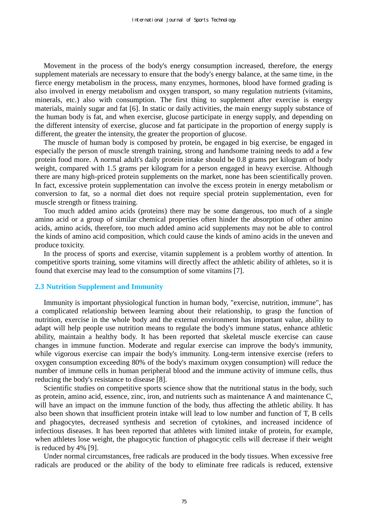Movement in the process of the body's energy consumption increased, therefore, the energy supplement materials are necessary to ensure that the body's energy balance, at the same time, in the fierce energy metabolism in the process, many enzymes, hormones, blood have formed grading is also involved in energy metabolism and oxygen transport, so many regulation nutrients (vitamins, minerals, etc.) also with consumption. The first thing to supplement after exercise is energy materials, mainly sugar and fat [6]. In static or daily activities, the main energy supply substance of the human body is fat, and when exercise, glucose participate in energy supply, and depending on the different intensity of exercise, glucose and fat participate in the proportion of energy supply is different, the greater the intensity, the greater the proportion of glucose.

The muscle of human body is composed by protein, be engaged in big exercise, be engaged in especially the person of muscle strength training, strong and handsome training needs to add a few protein food more. A normal adult's daily protein intake should be 0.8 grams per kilogram of body weight, compared with 1.5 grams per kilogram for a person engaged in heavy exercise. Although there are many high-priced protein supplements on the market, none has been scientifically proven. In fact, excessive protein supplementation can involve the excess protein in energy metabolism or conversion to fat, so a normal diet does not require special protein supplementation, even for muscle strength or fitness training.

Too much added amino acids (proteins) there may be some dangerous, too much of a single amino acid or a group of similar chemical properties often hinder the absorption of other amino acids, amino acids, therefore, too much added amino acid supplements may not be able to control the kinds of amino acid composition, which could cause the kinds of amino acids in the uneven and produce toxicity.

In the process of sports and exercise, vitamin supplement is a problem worthy of attention. In competitive sports training, some vitamins will directly affect the athletic ability of athletes, so it is found that exercise may lead to the consumption of some vitamins [7].

#### **2.3 Nutrition Supplement and Immunity**

Immunity is important physiological function in human body, "exercise, nutrition, immune", has a complicated relationship between learning about their relationship, to grasp the function of nutrition, exercise in the whole body and the external environment has important value, ability to adapt will help people use nutrition means to regulate the body's immune status, enhance athletic ability, maintain a healthy body. It has been reported that skeletal muscle exercise can cause changes in immune function. Moderate and regular exercise can improve the body's immunity, while vigorous exercise can impair the body's immunity. Long-term intensive exercise (refers to oxygen consumption exceeding 80% of the body's maximum oxygen consumption) will reduce the number of immune cells in human peripheral blood and the immune activity of immune cells, thus reducing the body's resistance to disease [8].

Scientific studies on competitive sports science show that the nutritional status in the body, such as protein, amino acid, essence, zinc, iron, and nutrients such as maintenance A and maintenance C, will have an impact on the immune function of the body, thus affecting the athletic ability. It has also been shown that insufficient protein intake will lead to low number and function of T, B cells and phagocytes, decreased synthesis and secretion of cytokines, and increased incidence of infectious diseases. It has been reported that athletes with limited intake of protein, for example, when athletes lose weight, the phagocytic function of phagocytic cells will decrease if their weight is reduced by 4% [9].

Under normal circumstances, free radicals are produced in the body tissues. When excessive free radicals are produced or the ability of the body to eliminate free radicals is reduced, extensive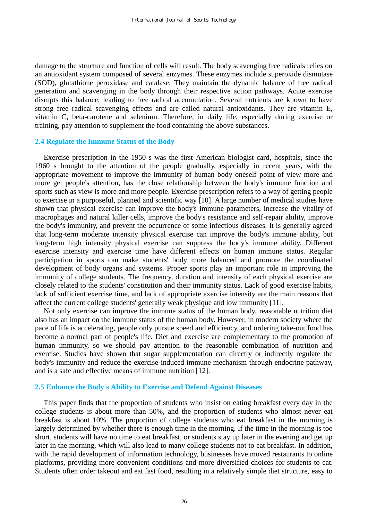damage to the structure and function of cells will result. The body scavenging free radicals relies on an antioxidant system composed of several enzymes. These enzymes include superoxide dismutase (SOD), glutathione peroxidase and catalase. They maintain the dynamic balance of free radical generation and scavenging in the body through their respective action pathways. Acute exercise disrupts this balance, leading to free radical accumulation. Several nutrients are known to have strong free radical scavenging effects and are called natural antioxidants. They are vitamin E, vitamin C, beta-carotene and selenium. Therefore, in daily life, especially during exercise or training, pay attention to supplement the food containing the above substances.

#### **2.4 Regulate the Immune Status of the Body**

Exercise prescription in the 1950 s was the first American biologist card, hospitals, since the 1960 s brought to the attention of the people gradually, especially in recent years, with the appropriate movement to improve the immunity of human body oneself point of view more and more get people's attention, has the close relationship between the body's immune function and sports such as view is more and more people. Exercise prescription refers to a way of getting people to exercise in a purposeful, planned and scientific way [10]. A large number of medical studies have shown that physical exercise can improve the body's immune parameters, increase the vitality of macrophages and natural killer cells, improve the body's resistance and self-repair ability, improve the body's immunity, and prevent the occurrence of some infectious diseases. It is generally agreed that long-term moderate intensity physical exercise can improve the body's immune ability, but long-term high intensity physical exercise can suppress the body's immune ability. Different exercise intensity and exercise time have different effects on human immune status. Regular participation in sports can make students' body more balanced and promote the coordinated development of body organs and systems. Proper sports play an important role in improving the immunity of college students. The frequency, duration and intensity of each physical exercise are closely related to the students' constitution and their immunity status. Lack of good exercise habits, lack of sufficient exercise time, and lack of appropriate exercise intensity are the main reasons that affect the current college students' generally weak physique and low immunity [11].

Not only exercise can improve the immune status of the human body, reasonable nutrition diet also has an impact on the immune status of the human body. However, in modern society where the pace of life is accelerating, people only pursue speed and efficiency, and ordering take-out food has become a normal part of people's life. Diet and exercise are complementary to the promotion of human immunity, so we should pay attention to the reasonable combination of nutrition and exercise. Studies have shown that sugar supplementation can directly or indirectly regulate the body's immunity and reduce the exercise-induced immune mechanism through endocrine pathway, and is a safe and effective means of immune nutrition [12].

## **2.5 Enhance the Body's Ability to Exercise and Defend Against Diseases**

This paper finds that the proportion of students who insist on eating breakfast every day in the college students is about more than 50%, and the proportion of students who almost never eat breakfast is about 10%. The proportion of college students who eat breakfast in the morning is largely determined by whether there is enough time in the morning. If the time in the morning is too short, students will have no time to eat breakfast, or students stay up later in the evening and get up later in the morning, which will also lead to many college students not to eat breakfast. In addition, with the rapid development of information technology, businesses have moved restaurants to online platforms, providing more convenient conditions and more diversified choices for students to eat. Students often order takeout and eat fast food, resulting in a relatively simple diet structure, easy to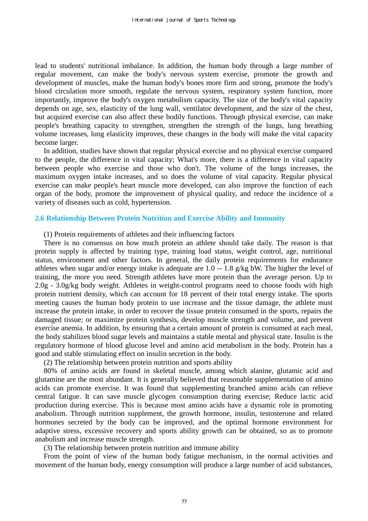lead to students' nutritional imbalance. In addition, the human body through a large number of regular movement, can make the body's nervous system exercise, promote the growth and development of muscles, make the human body's bones more firm and strong, promote the body's blood circulation more smooth, regulate the nervous system, respiratory system function, more importantly, improve the body's oxygen metabolism capacity. The size of the body's vital capacity depends on age, sex, elasticity of the lung wall, ventilator development, and the size of the chest, but acquired exercise can also affect these bodily functions. Through physical exercise, can make people's breathing capacity to strengthen, strengthen the strength of the lungs, lung breathing volume increases, lung elasticity improves, these changes in the body will make the vital capacity become larger.

In addition, studies have shown that regular physical exercise and no physical exercise compared to the people, the difference in vital capacity; What's more, there is a difference in vital capacity between people who exercise and those who don't. The volume of the lungs increases, the maximum oxygen intake increases, and so does the volume of vital capacity. Regular physical exercise can make people's heart muscle more developed, can also improve the function of each organ of the body, promote the improvement of physical quality, and reduce the incidence of a variety of diseases such as cold, hypertension.

## **2.6 Relationship Between Protein Nutrition and Exercise Ability and Immunity**

(1) Protein requirements of athletes and their influencing factors

There is no consensus on how much protein an athlete should take daily. The reason is that protein supply is affected by training type, training load status, weight control, age, nutritional status, environment and other factors. In general, the daily protein requirements for endurance athletes when sugar and/or energy intake is adequate are 1.0 -- 1.8 g/kg bW. The higher the level of training, the more you need. Strength athletes have more protein than the average person. Up to 2.0g - 3.0g/kg body weight. Athletes in weight-control programs need to choose foods with high protein nutrient density, which can account for 18 percent of their total energy intake. The sports meeting causes the human body protein to use increase and the tissue damage, the athlete must increase the protein intake, in order to recover the tissue protein consumed in the sports, repairs the damaged tissue; or maximize protein synthesis, develop muscle strength and volume, and prevent exercise anemia. In addition, by ensuring that a certain amount of protein is consumed at each meal, the body stabilizes blood sugar levels and maintains a stable mental and physical state. Insulin is the regulatory hormone of blood glucose level and amino acid metabolism in the body. Protein has a good and stable stimulating effect on insulin secretion in the body.

(2) The relationship between protein nutrition and sports ability

80% of amino acids are found in skeletal muscle, among which alanine, glutamic acid and glutamine are the most abundant. It is generally believed that reasonable supplementation of amino acids can promote exercise. It was found that supplementing branched amino acids can relieve central fatigue. It can save muscle glycogen consumption during exercise; Reduce lactic acid production during exercise. This is because most amino acids have a dynamic role in promoting anabolism. Through nutrition supplement, the growth hormone, insulin, testosterone and related hormones secreted by the body can be improved, and the optimal hormone environment for adaptive stress, excessive recovery and sports ability growth can be obtained, so as to promote anabolism and increase muscle strength.

(3) The relationship between protein nutrition and immune ability

From the point of view of the human body fatigue mechanism, in the normal activities and movement of the human body, energy consumption will produce a large number of acid substances,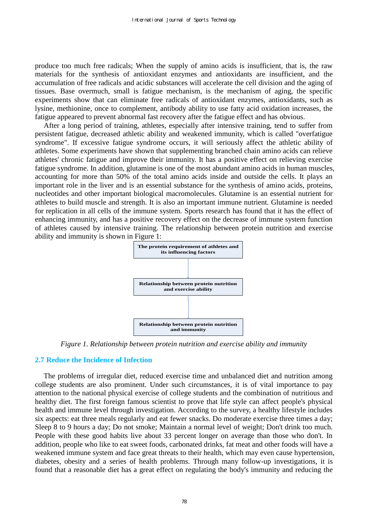produce too much free radicals; When the supply of amino acids is insufficient, that is, the raw materials for the synthesis of antioxidant enzymes and antioxidants are insufficient, and the accumulation of free radicals and acidic substances will accelerate the cell division and the aging of tissues. Base overmuch, small is fatigue mechanism, is the mechanism of aging, the specific experiments show that can eliminate free radicals of antioxidant enzymes, antioxidants, such as lysine, methionine, once to complement, antibody ability to use fatty acid oxidation increases, the fatigue appeared to prevent abnormal fast recovery after the fatigue effect and has obvious.

After a long period of training, athletes, especially after intensive training, tend to suffer from persistent fatigue, decreased athletic ability and weakened immunity, which is called "overfatigue syndrome". If excessive fatigue syndrome occurs, it will seriously affect the athletic ability of athletes. Some experiments have shown that supplementing branched chain amino acids can relieve athletes' chronic fatigue and improve their immunity. It has a positive effect on relieving exercise fatigue syndrome. In addition, glutamine is one of the most abundant amino acids in human muscles, accounting for more than 50% of the total amino acids inside and outside the cells. It plays an important role in the liver and is an essential substance for the synthesis of amino acids, proteins, nucleotides and other important biological macromolecules. Glutamine is an essential nutrient for athletes to build muscle and strength. It is also an important immune nutrient. Glutamine is needed for replication in all cells of the immune system. Sports research has found that it has the effect of enhancing immunity, and has a positive recovery effect on the decrease of immune system function of athletes caused by intensive training. The relationship between protein nutrition and exercise ability and immunity is shown in Figure 1:



*Figure 1. Relationship between protein nutrition and exercise ability and immunity* 

# **2.7 Reduce the Incidence of Infection**

The problems of irregular diet, reduced exercise time and unbalanced diet and nutrition among college students are also prominent. Under such circumstances, it is of vital importance to pay attention to the national physical exercise of college students and the combination of nutritious and healthy diet. The first foreign famous scientist to prove that life style can affect people's physical health and immune level through investigation. According to the survey, a healthy lifestyle includes six aspects: eat three meals regularly and eat fewer snacks. Do moderate exercise three times a day; Sleep 8 to 9 hours a day; Do not smoke; Maintain a normal level of weight; Don't drink too much. People with these good habits live about 33 percent longer on average than those who don't. In addition, people who like to eat sweet foods, carbonated drinks, fat meat and other foods will have a weakened immune system and face great threats to their health, which may even cause hypertension, diabetes, obesity and a series of health problems. Through many follow-up investigations, it is found that a reasonable diet has a great effect on regulating the body's immunity and reducing the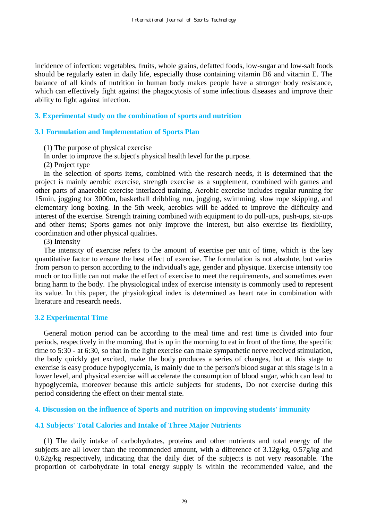incidence of infection: vegetables, fruits, whole grains, defatted foods, low-sugar and low-salt foods should be regularly eaten in daily life, especially those containing vitamin B6 and vitamin E. The balance of all kinds of nutrition in human body makes people have a stronger body resistance, which can effectively fight against the phagocytosis of some infectious diseases and improve their ability to fight against infection.

# **3. Experimental study on the combination of sports and nutrition**

# **3.1 Formulation and Implementation of Sports Plan**

(1) The purpose of physical exercise

In order to improve the subject's physical health level for the purpose.

(2) Project type

In the selection of sports items, combined with the research needs, it is determined that the project is mainly aerobic exercise, strength exercise as a supplement, combined with games and other parts of anaerobic exercise interlaced training. Aerobic exercise includes regular running for 15min, jogging for 3000m, basketball dribbling run, jogging, swimming, slow rope skipping, and elementary long boxing. In the 5th week, aerobics will be added to improve the difficulty and interest of the exercise. Strength training combined with equipment to do pull-ups, push-ups, sit-ups and other items; Sports games not only improve the interest, but also exercise its flexibility, coordination and other physical qualities.

(3) Intensity

The intensity of exercise refers to the amount of exercise per unit of time, which is the key quantitative factor to ensure the best effect of exercise. The formulation is not absolute, but varies from person to person according to the individual's age, gender and physique. Exercise intensity too much or too little can not make the effect of exercise to meet the requirements, and sometimes even bring harm to the body. The physiological index of exercise intensity is commonly used to represent its value. In this paper, the physiological index is determined as heart rate in combination with literature and research needs.

# **3.2 Experimental Time**

General motion period can be according to the meal time and rest time is divided into four periods, respectively in the morning, that is up in the morning to eat in front of the time, the specific time to 5:30 - at 6:30, so that in the light exercise can make sympathetic nerve received stimulation, the body quickly get excited, make the body produces a series of changes, but at this stage to exercise is easy produce hypoglycemia, is mainly due to the person's blood sugar at this stage is in a lower level, and physical exercise will accelerate the consumption of blood sugar, which can lead to hypoglycemia, moreover because this article subjects for students, Do not exercise during this period considering the effect on their mental state.

# **4. Discussion on the influence of Sports and nutrition on improving students' immunity**

# **4.1 Subjects' Total Calories and Intake of Three Major Nutrients**

(1) The daily intake of carbohydrates, proteins and other nutrients and total energy of the subjects are all lower than the recommended amount, with a difference of 3.12g/kg, 0.57g/kg and 0.62g/kg respectively, indicating that the daily diet of the subjects is not very reasonable. The proportion of carbohydrate in total energy supply is within the recommended value, and the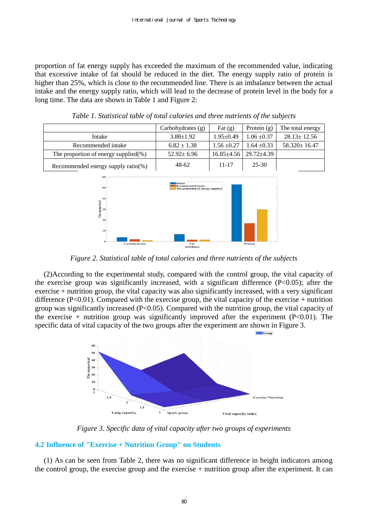proportion of fat energy supply has exceeded the maximum of the recommended value, indicating that excessive intake of fat should be reduced in the diet. The energy supply ratio of protein is higher than 25%, which is close to the recommended line. There is an imbalance between the actual intake and the energy supply ratio, which will lead to the decrease of protein level in the body for a long time. The data are shown in Table 1 and Figure 2:



*Table 1. Statistical table of total calories and three nutrients of the subjects* 

*Figure 2. Statistical table of total calories and three nutrients of the subjects* 

(2)According to the experimental study, compared with the control group, the vital capacity of the exercise group was significantly increased, with a significant difference  $(P<0.05)$ ; after the exercise + nutrition group, the vital capacity was also significantly increased, with a very significant difference ( $P<0.01$ ). Compared with the exercise group, the vital capacity of the exercise + nutrition group was significantly increased (P<0.05). Compared with the nutrition group, the vital capacity of the exercise + nutrition group was significantly improved after the experiment  $(P<0.01)$ . The specific data of vital capacity of the two groups after the experiment are shown in Figure 3.



*Figure 3. Specific data of vital capacity after two groups of experiments* 

# **4.2 Influence of "Exercise + Nutrition Group" on Students**

(1) As can be seen from Table 2, there was no significant difference in height indicators among the control group, the exercise group and the exercise + nutrition group after the experiment. It can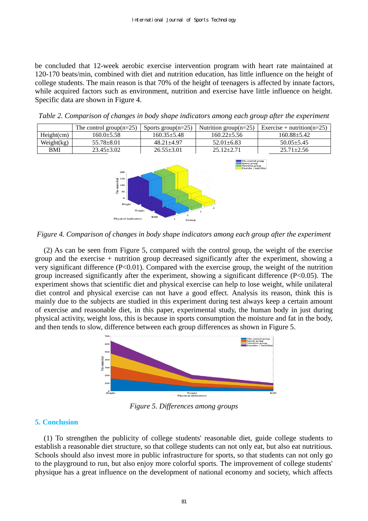be concluded that 12-week aerobic exercise intervention program with heart rate maintained at 120-170 beats/min, combined with diet and nutrition education, has little influence on the height of college students. The main reason is that 70% of the height of teenagers is affected by innate factors, while acquired factors such as environment, nutrition and exercise have little influence on height. Specific data are shown in Figure 4.

*Table 2. Comparison of changes in body shape indicators among each group after the experiment* 



*Figure 4. Comparison of changes in body shape indicators among each group after the experiment* 

Grou

BMI

**Physical indicator** 

(2) As can be seen from Figure 5, compared with the control group, the weight of the exercise group and the exercise + nutrition group decreased significantly after the experiment, showing a very significant difference (P<0.01). Compared with the exercise group, the weight of the nutrition group increased significantly after the experiment, showing a significant difference (P<0.05). The experiment shows that scientific diet and physical exercise can help to lose weight, while unilateral diet control and physical exercise can not have a good effect. Analysis its reason, think this is mainly due to the subjects are studied in this experiment during test always keep a certain amount of exercise and reasonable diet, in this paper, experimental study, the human body in just during physical activity, weight loss, this is because in sports consumption the moisture and fat in the body, and then tends to slow, difference between each group differences as shown in Figure 5.



*Figure 5. Differences among groups* 

# **5. Conclusion**

(1) To strengthen the publicity of college students' reasonable diet, guide college students to establish a reasonable diet structure, so that college students can not only eat, but also eat nutritious. Schools should also invest more in public infrastructure for sports, so that students can not only go to the playground to run, but also enjoy more colorful sports. The improvement of college students' physique has a great influence on the development of national economy and society, which affects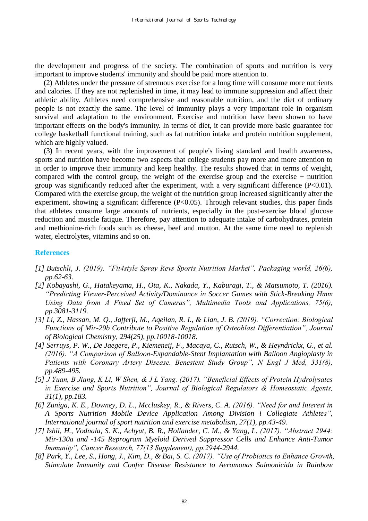the development and progress of the society. The combination of sports and nutrition is very important to improve students' immunity and should be paid more attention to.

(2) Athletes under the pressure of strenuous exercise for a long time will consume more nutrients and calories. If they are not replenished in time, it may lead to immune suppression and affect their athletic ability. Athletes need comprehensive and reasonable nutrition, and the diet of ordinary people is not exactly the same. The level of immunity plays a very important role in organism survival and adaptation to the environment. Exercise and nutrition have been shown to have important effects on the body's immunity. In terms of diet, it can provide more basic guarantee for college basketball functional training, such as fat nutrition intake and protein nutrition supplement, which are highly valued.

(3) In recent years, with the improvement of people's living standard and health awareness, sports and nutrition have become two aspects that college students pay more and more attention to in order to improve their immunity and keep healthy. The results showed that in terms of weight, compared with the control group, the weight of the exercise group and the exercise  $+$  nutrition group was significantly reduced after the experiment, with a very significant difference  $(P<0.01)$ . Compared with the exercise group, the weight of the nutrition group increased significantly after the experiment, showing a significant difference  $(P<0.05)$ . Through relevant studies, this paper finds that athletes consume large amounts of nutrients, especially in the post-exercise blood glucose reduction and muscle fatigue. Therefore, pay attention to adequate intake of carbohydrates, protein and methionine-rich foods such as cheese, beef and mutton. At the same time need to replenish water, electrolytes, vitamins and so on.

#### **References**

- *[1] Butschli, J. (2019). "Fit4style Spray Revs Sports Nutrition Market", Packaging world, 26(6), pp.62-63.*
- *[2] Kobayashi, G., Hatakeyama, H., Ota, K., Nakada, Y., Kaburagi, T., & Matsumoto, T. (2016). "Predicting Viewer-Perceived Activity/Dominance in Soccer Games with Stick-Breaking Hmm Using Data from A Fixed Set of Cameras", Multimedia Tools and Applications, 75(6), pp.3081-3119.*
- *[3] Li, Z., Hassan, M. Q., Jafferji, M., Aqeilan, R. I., & Lian, J. B. (2019). "Correction: Biological Functions of Mir-29b Contribute to Positive Regulation of Osteoblast Differentiation", Journal of Biological Chemistry, 294(25), pp.10018-10018.*
- *[4] Serruys, P. W., De Jaegere, P., Kiemeneij, F., Macaya, C., Rutsch, W., & Heyndrickx, G., et al. (2016). "A Comparison of Balloon-Expandable-Stent Implantation with Balloon Angioplasty in Patients with Coronary Artery Disease. Benestent Study Group", N Engl J Med, 331(8), pp.489-495.*
- *[5] J Yuan, B Jiang, K Li, W Shen, & J L Tang. (2017). "Beneficial Effects of Protein Hydrolysates in Exercise and Sports Nutrition", Journal of Biological Regulators & Homeostatic Agents, 31(1), pp.183.*
- *[6] Zuniga, K. E., Downey, D. L., Mccluskey, R., & Rivers, C. A. (2016). "Need for and Interest in A Sports Nutrition Mobile Device Application Among Division i Collegiate Athletes", International journal of sport nutrition and exercise metabolism, 27(1), pp.43-49.*
- *[7] Ishii, H., Vodnala, S. K., Achyut, B. R., Hollander, C. M., & Yang, L. (2017). "Abstract 2944: Mir-130a and -145 Reprogram Myeloid Derived Suppressor Cells and Enhance Anti-Tumor Immunity", Cancer Research, 77(13 Supplement), pp.2944-2944.*
- *[8] Park, Y., Lee, S., Hong, J., Kim, D., & Bai, S. C. (2017). "Use of Probiotics to Enhance Growth, Stimulate Immunity and Confer Disease Resistance to Aeromonas Salmonicida in Rainbow*